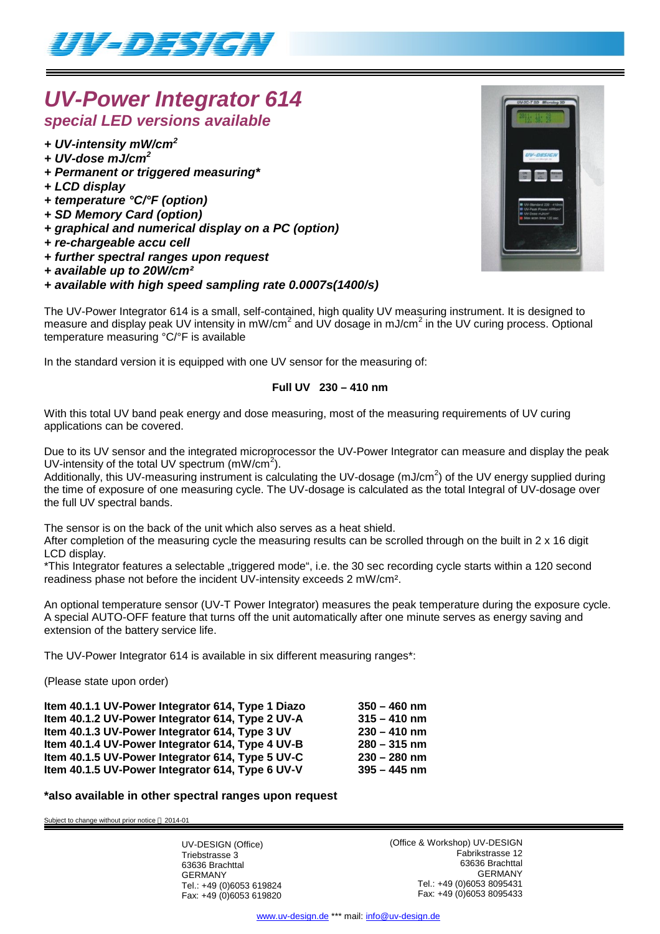

# *UV-Power Integrator 614 special LED versions available*

- *+ UV-intensity mW/cm<sup>2</sup>*
- *+ UV-dose mJ/cm<sup>2</sup>*
- *+ Permanent or triggered measuring\**
- *+ LCD display*
- *+ temperature °C/°F (option)*
- *+ SD Memory Card (option)*
- *+ graphical and numerical display on a PC (option)*
- *+ re-chargeable accu cell*
- *+ further spectral ranges upon request*
- *+ available up to 20W/cm²*

# *+ available with high speed sampling rate 0.0007s(1400/s)*

The UV-Power Integrator 614 is a small, self-contained, high quality UV measuring instrument. It is designed to measure and display peak UV intensity in mW/cm<sup>2</sup> and UV dosage in mJ/cm<sup>2</sup> in the UV curing process. Optional temperature measuring °C/°F is available

In the standard version it is equipped with one UV sensor for the measuring of:

# **Full UV 230 – 410 nm**

With this total UV band peak energy and dose measuring, most of the measuring requirements of UV curing applications can be covered.

Due to its UV sensor and the integrated microprocessor the UV-Power Integrator can measure and display the peak UV-intensity of the total UV spectrum  $(mW/cm<sup>2</sup>)$ .

Additionally, this UV-measuring instrument is calculating the UV-dosage (mJ/cm<sup>2</sup>) of the UV energy supplied during the time of exposure of one measuring cycle. The UV-dosage is calculated as the total Integral of UV-dosage over the full UV spectral bands.

The sensor is on the back of the unit which also serves as a heat shield.

After completion of the measuring cycle the measuring results can be scrolled through on the built in 2 x 16 digit LCD display.

\*This Integrator features a selectable "triggered mode", i.e. the 30 sec recording cycle starts within a 120 second readiness phase not before the incident UV-intensity exceeds 2 mW/cm².

An optional temperature sensor (UV-T Power Integrator) measures the peak temperature during the exposure cycle. A special AUTO-OFF feature that turns off the unit automatically after one minute serves as energy saving and extension of the battery service life.

The UV-Power Integrator 614 is available in six different measuring ranges\*:

(Please state upon order)

| Item 40.1.1 UV-Power Integrator 614, Type 1 Diazo | $350 - 460$ nm |
|---------------------------------------------------|----------------|
| Item 40.1.2 UV-Power Integrator 614, Type 2 UV-A  | $315 - 410$ nm |
| Item 40.1.3 UV-Power Integrator 614, Type 3 UV    | $230 - 410$ nm |
| Item 40.1.4 UV-Power Integrator 614, Type 4 UV-B  | $280 - 315$ nm |
| Item 40.1.5 UV-Power Integrator 614, Type 5 UV-C  | $230 - 280$ nm |
| Item 40.1.5 UV-Power Integrator 614, Type 6 UV-V  | $395 - 445$ nm |

### **\*also available in other spectral ranges upon request**

Subject to change without prior notice @ 2014-01

UV-DESIGN (Office) Triebstrasse 3 63636 Brachttal GERMANY Tel.: +49 (0)6053 619824 Fax: +49 (0)6053 619820 (Office & Workshop) UV-DESIGN Fabrikstrasse 12 63636 Brachttal GERMANY Tel.: +49 (0)6053 8095431 Fax: +49 (0)6053 8095433



www.uv-design.de \*\*\* mail: info@uv-design.de